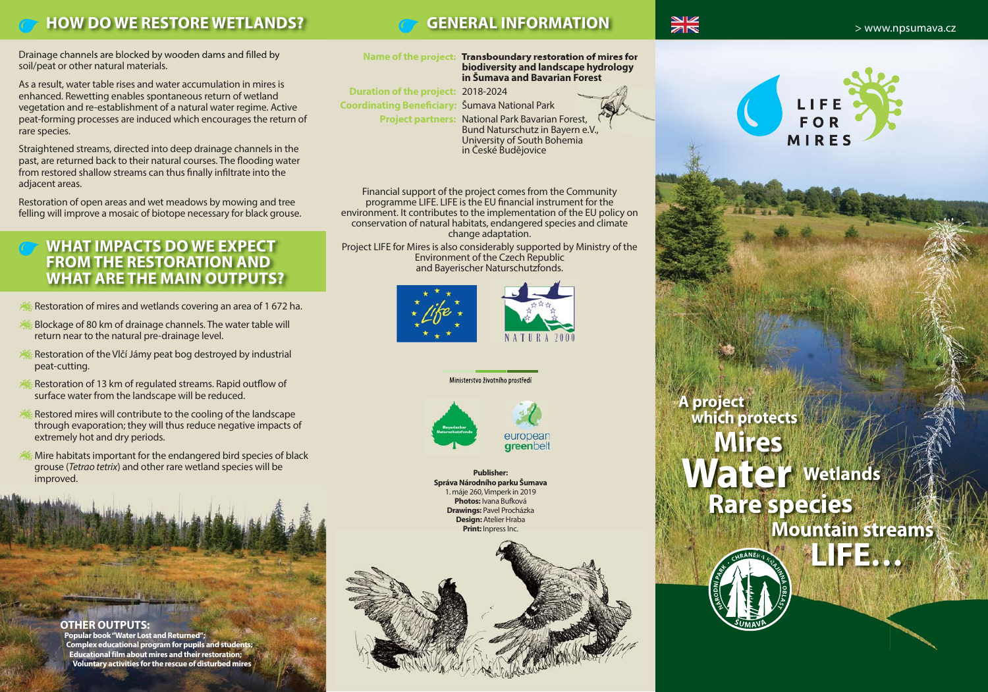## **HOW DO WE RESTORE WETLANDS? GENERAL INFORMATION**

Drainage channels are blocked by wooden dams and filled by soil/peat or other natural materials.

As a result, water table rises and water accumulation in mires is enhanced. Rewetting enables spontaneous return of wetland vegetation and re-establishment of a natural water regime. Active peat-forming processes are induced which encourages the return of rare species.

Straightened streams, directed into deep drainage channels in the past, are returned back to their natural courses. The flooding water from restored shallow streams can thus finally infiltrate into the adjacent areas.

Restoration of open areas and wet meadows by mowing and tree felling will improve a mosaic of biotope necessary for black grouse.

### **WHAT IMPACTS DO WE EXPECT FROM THE RESTORATION AND WHAT ARE THE MAIN OUTPUTS?**

- Restoration of mires and wetlands covering an area of 1 672 ha.
- Blockage of 80 km of drainage channels. The water table will return near to the natural pre-drainage level.
- Restoration of the Vlčí Jámy peat bog destroyed by industrial peat-cutting.
- Restoration of 13 km of regulated streams. Rapid outflow of surface water from the landscape will be reduced.
- Restored mires will contribute to the cooling of the landscape through evaporation; they will thus reduce negative impacts of extremely hot and dry periods.
- Mire habitats important for the endangered bird species of black grouse (*Tetrao tetrix*) and other rare wetland species will be improved.

**OTHER OUTPUTS:** 

**Popular book "Water Lost and Returned";** 

**Complex educational program for pupils and students; Educational film about mires and their restoration; Voluntary activities for the rescue of disturbed mires**

**Name of the project: Transboundary restoration of mires for biodiversity and landscape hydrology in Šumava and Bavarian Forest**

**Duration of the project:** 2018-2024 **Coordinating Beneficiary:** Šumava National Park **Project partners:** National Park Bavarian Forest, University of South Bohemia

Bund Naturschutz in Bayern e.V., in České Budějovice

Financial support of the project comes from the Community programme LIFE. LIFE is the EU financial instrument for the environment. It contributes to the implementation of the EU policy on conservation of natural habitats, endangered species and climate change adaptation.

Project LIFE for Mires is also considerably supported by Ministry of the Environment of the Czech Republic and Bayerischer Naturschutzfonds.





**Správa Národního parku Šumava** 1. máje 260, Vimperk in 2019 **Photos:** Ivana Bufková **Drawings:** Pavel Procházka **Design:** Atelier Hraba **Print:** Inpress Inc.





**A project which protects Mires Wetlands Rare species Mountain streams LIFE… Publisher:** and the set of the set of the set of the set of the set of the set of the set of the set of the set of the set of the set of the set of the set of the set of the set of the set of the set of the set of the set